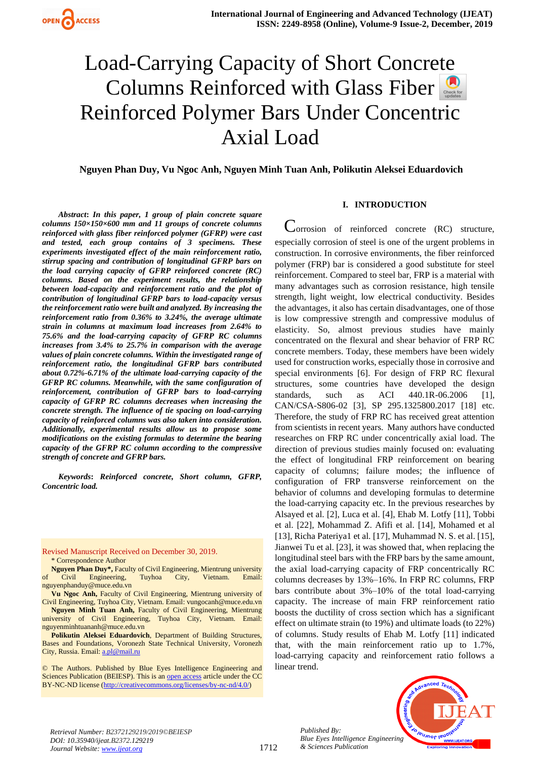# Load-Carrying Capacity of Short Concrete ColumnsReinforced with Glass Fiber Reinforced Polymer Bars Under Concentric Axial Load

**Nguyen Phan Duy, Vu Ngoc Anh, Nguyen Minh Tuan Anh, Polikutin Aleksei Eduardovich**

*Abstract***:** *In this paper, 1 group of plain concrete square columns 150×150×600 mm and 11 groups of concrete columns reinforced with glass fiber reinforced polymer (GFRP) were cast and tested, each group contains of 3 specimens. These experiments investigated effect of the main reinforcement ratio, stirrup spacing and contribution of longitudinal GFRP bars on the load carrying capacity of GFRP reinforced concrete (RC) columns. Based on the experiment results, the relationship between load-capacity and reinforcement ratio and the plot of contribution of longitudinal GFRP bars to load-capacity versus the reinforcement ratio were built and analyzed. By increasing the reinforcement ratio from 0.36% to 3.24%, the average ultimate strain in columns at maximum load increases from 2.64% to 75.6% and the load-carrying capacity of GFRP RC columns increases from 3.4% to 25.7% in comparison with the average values of plain concrete columns. Within the investigated range of reinforcement ratio, the longitudinal GFRP bars contributed about 0.72%-6.71% of the ultimate load-carrying capacity of the GFRP RC columns. Meanwhile, with the same configuration of reinforcement, contribution of GFRP bars to load-carrying capacity of GFRP RC columns decreases when increasing the concrete strength. The influence of tie spacing on load-carrying capacity of reinforced columns was also taken into consideration. Additionally, experimental results allow us to propose some modifications on the existing formulas to determine the bearing capacity of the GFRP RC column according to the compressive strength of concrete and GFRP bars.*

*Keywords***:** *Reinforced concrete, Short column, GFRP, Concentric load.* 

Revised Manuscript Received on December 30, 2019.

\* Correspondence Author

**Nguyen Phan Duy\*,** Faculty of Civil Engineering, Mientrung university of Civil Engineering, Tuyhoa City, Vietnam. Email: [nguyenphanduy@muce.edu.vn](mailto:nguyenphanduy@muce.edu.vn)

**Vu Ngoc Anh,** Faculty of Civil Engineering, Mientrung university of Civil Engineering, Tuyhoa City, Vietnam. Email: vungocanh@muce.edu.vn **Nguyen Minh Tuan Anh,** Faculty of Civil Engineering, Mientrung

university of Civil Engineering, Tuyhoa City, Vietnam. Email: [nguyenminhtuananh@muce.edu.vn](mailto:nguyenminhtuananh@muce.edu.vn) **Polikutin Aleksei Eduardovich**, Department of Building Structures,

Bases and Foundations, Voronezh State Technical University, Voronezh City, Russia. Email[: a.pl@mail.ru](mailto:a.pl@mail.ru)

© The Authors. Published by Blue Eyes Intelligence Engineering and Sciences Publication (BEIESP). This is a[n open access](https://www.openaccess.nl/en/open-publications) article under the CC BY-NC-ND license [\(http://creativecommons.org/licenses/by-nc-nd/4.0/\)](http://creativecommons.org/licenses/by-nc-nd/4.0/)

## **I. INTRODUCTION**

 $\sim$ orrosion of reinforced concrete (RC) structure, especially corrosion of steel is one of the urgent problems in construction. In corrosive environments, the fiber reinforced polymer (FRP) bar is considered a good substitute for steel reinforcement. Compared to steel bar, FRP is a material with many advantages such as corrosion resistance, high tensile strength, light weight, low electrical conductivity. Besides the advantages, it also has certain disadvantages, one of those is low compressive strength and compressive modulus of elasticity. So, almost previous studies have mainly concentrated on the flexural and shear behavior of FRP RC concrete members. Today, these members have been widely used for construction works, especially those in corrosive and special environments [6]. For design of FRP RC flexural structures, some countries have developed the design standards, such as ACI 440.1R-06.2006 [1], CAN/CSA-S806-02 [3], SP 295.1325800.2017 [18] etc. Therefore, the study of FRP RC has received great attention from scientists in recent years. Many authors have conducted researches on FRP RC under concentrically axial load. The direction of previous studies mainly focused on: evaluating the effect of longitudinal FRP reinforcement on bearing capacity of columns; failure modes; the influence of configuration of FRP transverse reinforcement on the behavior of columns and developing formulas to determine the load-carrying capacity etc. In the previous researches by Alsayed et al. [2], Luca et al. [4], Ehab M. Lotfy [11], Tobbi et al. [22], Mohammad Z. Afifi et al. [14], Mohamed et al [13], Richa Pateriya1 et al. [17], Muhammad N. S. et al. [15], Jianwei Tu et al. [23], it was showed that, when replacing the longitudinal steel bars with the FRP bars by the same amount, the axial load-carrying capacity of FRP concentrically RC columns decreases by 13%–16%. In FRP RC columns, FRP bars contribute about 3%–10% of the total load-carrying capacity. The increase of main FRP reinforcement ratio boosts the ductility of cross section which has a significant effect on ultimate strain (to 19%) and ultimate loads (to 22%) of columns. Study results of Ehab M. Lotfy [11] indicated that, with the main reinforcement ratio up to 1.7%, load-carrying capacity and reinforcement ratio follows a linear trend.



*Retrieval Number: B2372129219/2019©BEIESP DOI: 10.35940/ijeat.B2372.129219 Journal Website[: www.ijeat.org](http://www.ijeat.org/)*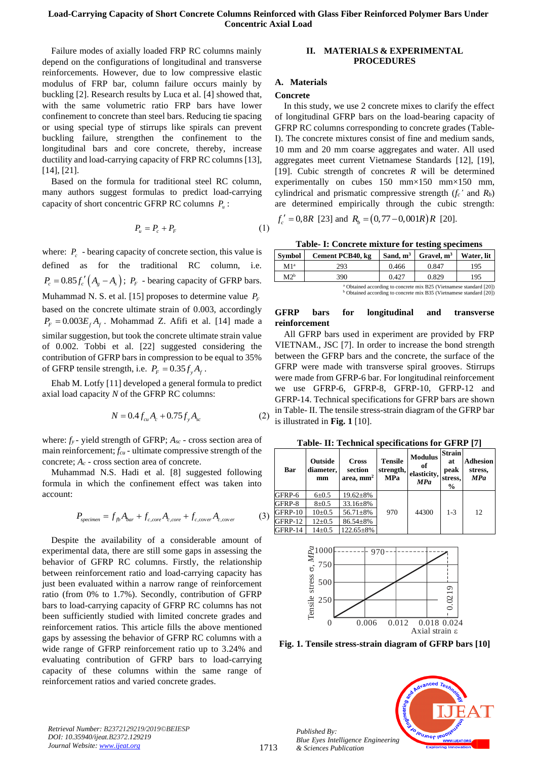Failure modes of axially loaded FRP RC columns mainly depend on the configurations of longitudinal and transverse reinforcements. However, due to low compressive elastic modulus of FRP bar, column failure occurs mainly by buckling [2]. Research results by Luca et al. [4] showed that, with the same volumetric ratio FRP bars have lower confinement to concrete than steel bars. Reducing tie spacing or using special type of stirrups like spirals can prevent buckling failure, strengthen the confinement to the longitudinal bars and core concrete, thereby, increase ductility and load-carrying capacity of FRP RC columns [13], [14], [21].

Based on the formula for traditional steel RC column, many authors suggest formulas to predict load-carrying capacity of short concentric GFRP RC columns *P u* :

$$
P_u = P_c + P_F \tag{1}
$$

where:  $P_c$  - bearing capacity of concrete section, this value is defined as for the traditional RC column, i.e.  $P_c = 0.85 f_c' (A_g - A_s);$   $P_F$  - bearing capacity of GFRP bars. Muhammad N. S. et al. [15] proposes to determine value *PF* based on the concrete ultimate strain of 0.003, accordingly  $P_F = 0.003 E_f A_f$ . Mohammad Z. Afifi et al. [14] made a similar suggestion, but took the concrete ultimate strain value of 0.002. Tobbi et al. [22] suggested considering the contribution of GFRP bars in compression to be equal to 35% of GFRP tensile strength, i.e.  $P_F = 0.35 f_y A_f$ .

Ehab M. Lotfy [11] developed a general formula to predict axial load capacity *N* of the GFRP RC columns:

$$
N = 0.4 f_{cu} A_c + 0.75 f_{y} A_{sc}
$$

where: *fy* - yield strength of GFRP; *Asc* - cross section area of main reinforcement; *fcu* - ultimate compressive strength of the concrete;  $A_c$  - cross section area of concrete.

Muhammad N.S. Hadi et al. [8] suggested following formula in which the confinement effect was taken into account:

$$
P_{\text{specimen}} = f_{fb}A_{bar} + f_{c,core}A_{c,core} + f_{c,cover}A_{c,cover}
$$
 (3)

Despite the availability of a considerable amount of experimental data, there are still some gaps in assessing the behavior of GFRP RC columns. Firstly, the relationship between reinforcement ratio and load-carrying capacity has just been evaluated within a narrow range of reinforcement ratio (from 0% to 1.7%). Secondly, contribution of GFRP bars to load-carrying capacity of GFRP RC columns has not been sufficiently studied with limited concrete grades and reinforcement ratios. This article fills the above mentioned gaps by assessing the behavior of GFRP RC columns with a wide range of GFRP reinforcement ratio up to 3.24% and evaluating contribution of GFRP bars to load-carrying capacity of these columns within the same range of reinforcement ratios and varied concrete grades.

## **II. MATERIALS & EXPERIMENTAL PROCEDURES**

## **A. Materials**

## **Concrete**

In this study, we use 2 concrete mixes to clarify the effect of longitudinal GFRP bars on the load-bearing capacity of GFRP RC columns corresponding to concrete grades (Table-I). The concrete mixtures consist of fine and medium sands, 10 mm and 20 mm coarse aggregates and water. All used aggregates meet current Vietnamese Standards [12], [19], [19]. Cubic strength of concretes *R* will be determined experimentally on cubes 150 mm×150 mm×150 mm, cylindrical and prismatic compressive strength  $(f_c \text{' and } R_b)$ are determined empirically through the cubic strength:

$$
f'_c = 0, 8R
$$
 [23] and  $R_b = (0, 77 - 0, 001R)R$  [20].

**Table- I: Concrete mixture for testing specimens**

| <b>Symbol</b>   | Cement PCB40, kg                   | Sand, $m^3$ | $\int$ Gravel, $m^3$                           | Water, lit                 |
|-----------------|------------------------------------|-------------|------------------------------------------------|----------------------------|
| M1 <sup>a</sup> | 293                                | 0.466       | 0.847                                          | 195                        |
| $M2^b$          | 390                                | 0.427       | 0.829                                          | 195                        |
|                 | $\sim$ $\sim$ $\sim$ $\sim$ $\sim$ | $\cdots$    | $\mathbf{v}$ and $\mathbf{v}$ and $\mathbf{v}$ | $\cdots$ $\cdots$ $\cdots$ |

btained according to concrete mix B25 (Vietnam <sup>b</sup> Obtained according to concrete mix B35 (Vietnamese standard [20])

## **GFRP bars for longitudinal and transverse reinforcement**

All GFRP bars used in experiment are provided by FRP VIETNAM., JSC [7]. In order to increase the bond strength between the GFRP bars and the concrete, the surface of the GFRP were made with transverse spiral grooves. Stirrups were made from GFRP-6 bar. For longitudinal reinforcement we use GFRP-6, GFRP-8, GFRP-10, GFRP-12 and GFRP-14. Technical specifications for GFRP bars are shown in Table- II. The tensile stress-strain diagram of the GFRP bar is illustrated in **[Fig. 1](#page-1-0)** [10].

**Table- II: Technical specifications for GFRP [7]**

| Bar     | <b>Outside</b><br>diameter,<br>mm | <b>Cross</b><br>section<br>area. $mm2$ | <b>Tensile</b><br>strength,<br>MPa | <b>Modulus</b><br>oť<br>elasticity,<br><b>MPa</b> | <b>Strain</b><br>at<br>peak<br>stress,<br>$\frac{6}{9}$ | <b>Adhesion</b><br>stress,<br><b>MPa</b> |
|---------|-----------------------------------|----------------------------------------|------------------------------------|---------------------------------------------------|---------------------------------------------------------|------------------------------------------|
| GFRP-6  | $6 + 0.5$                         | $19.62 \pm 8\%$                        |                                    |                                                   |                                                         |                                          |
| GFRP-8  | $8 + 0.5$                         | $33.16 \pm 8\%$                        |                                    |                                                   |                                                         |                                          |
| GFRP-10 | $10+0.5$                          | $56.71 \pm 8\%$                        | 970                                | 44300                                             | $1 - 3$                                                 | 12                                       |
| GFRP-12 | $12+0.5$                          | $86.54 \pm 8\%$                        |                                    |                                                   |                                                         |                                          |
| GFRP-14 | $14\pm 0.5$                       | $122.65 \pm 8\%$                       |                                    |                                                   |                                                         |                                          |



<span id="page-1-0"></span>**Fig. 1. Tensile stress-strain diagram of GFRP bars [10]**



*Retrieval Number: B2372129219/2019©BEIESP DOI: 10.35940/ijeat.B2372.129219 Journal Website[: www.ijeat.org](http://www.ijeat.org/)*

 $(2)$ 

*Published By:*

*& Sciences Publication*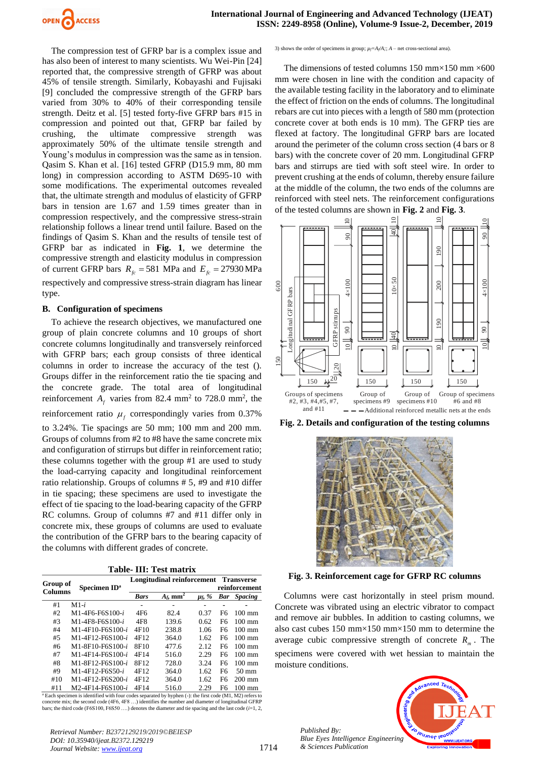

The compression test of GFRP bar is a complex issue and has also been of interest to many scientists. Wu Wei-Pin [24] reported that, the compressive strength of GFRP was about 45% of tensile strength. Similarly, Kobayashi and Fujisaki [9] concluded the compressive strength of the GFRP bars varied from 30% to 40% of their corresponding tensile strength. Deitz et al. [5] tested forty-five GFRP bars #15 in compression and pointed out that, GFRP bar failed by crushing, the ultimate compressive strength was approximately 50% of the ultimate tensile strength and Young's modulus in compression was the same as in tension. Qasim S. Khan et al. [16] tested GFRP (D15.9 mm, 80 mm long) in compression according to ASTM D695-10 with some modifications. The experimental outcomes revealed that, the ultimate strength and modulus of elasticity of GFRP bars in tension are 1.67 and 1.59 times greater than in compression respectively, and the compressive stress-strain relationship follows a linear trend until failure. Based on the findings of Qasim S. Khan and the results of tensile test of GFRP bar as indicated in **[Fig. 1](#page-1-0)**, we determine the compressive strength and elasticity modulus in compression of current GFRP bars  $R_{fc} = 581$  MPa and  $E_{fc} = 27930$  MPa respectively and compressive stress-strain diagram has linear type.

#### **B. Configuration of specimens**

To achieve the research objectives, we manufactured one group of plain concrete columns and 10 groups of short concrete columns longitudinally and transversely reinforced with GFRP bars; each group consists of three identical columns in order to increase the accuracy of the test (). Groups differ in the reinforcement ratio the tie spacing and the concrete grade. The total area of longitudinal reinforcement  $A_f$  varies from 82.4 mm<sup>2</sup> to 728.0 mm<sup>2</sup>, the reinforcement ratio  $\mu_f$  correspondingly varies from 0.37% to 3.24%. Tie spacings are 50 mm; 100 mm and 200 mm. Groups of columns from #2 to #8 have the same concrete mix and configuration of stirrups but differ in reinforcement ratio; these columns together with the group #1 are used to study the load-carrying capacity and longitudinal reinforcement ratio relationship. Groups of columns # 5, #9 and #10 differ in tie spacing; these specimens are used to investigate the effect of tie spacing to the load-bearing capacity of the GFRP RC columns. Group of columns #7 and #11 differ only in concrete mix, these groups of columns are used to evaluate the contribution of the GFRP bars to the bearing capacity of the columns with different grades of concrete.

|  |  |  | Table- III: Test matrix |
|--|--|--|-------------------------|
|--|--|--|-------------------------|

| Group of       | Specimen ID <sup>a</sup> |             | Longitudinal reinforcement |             | <b>Transverse</b><br>reinforcement |                    |
|----------------|--------------------------|-------------|----------------------------|-------------|------------------------------------|--------------------|
| <b>Columns</b> |                          | <b>Bars</b> | $A_f$ , mm <sup>2</sup>    | $\mu_f$ , % |                                    | <b>Bar</b> Spacing |
| #1             | $M1-i$                   |             |                            |             |                                    |                    |
| #2             | $M1-4F6-F6S100-i$        | 4F6         | 82.4                       | 0.37        | F6                                 | $100 \text{ mm}$   |
| #3             | $M1-4F8-F6S100-i$        | 4F8         | 139.6                      | 0.62        | F <sub>6</sub>                     | $100 \text{ mm}$   |
| #4             | M1-4F10-F6S100-i         | 4F10        | 238.8                      | 1.06        | F <sub>6</sub>                     | $100 \text{ mm}$   |
| #5             | M1-4F12-F6S100-i         | 4F12        | 364.0                      | 1.62        | F6                                 | $100 \text{ mm}$   |
| #6             | M1-8F10-F6S100-i         | 8F10        | 477.6                      | 2.12        | F6                                 | $100 \text{ mm}$   |
| #7             | M1-4F14-F6S100-i         | 4F14        | 516.0                      | 2.29        | F <sub>6</sub>                     | $100 \text{ mm}$   |
| #8             | M1-8F12-F6S100-i         | 8F12        | 728.0                      | 3.24        | F <sub>6</sub>                     | $100 \text{ mm}$   |
| #9             | $M1-4F12-F6S50-i$        | 4F12        | 364.0                      | 1.62        | F <sub>6</sub>                     | $50 \text{ mm}$    |
| #10            | M1-4F12-F6S200-i         | 4F12        | 364.0                      | 1.62        | F6                                 | $200 \text{ mm}$   |
| #11            | M2-4F14-F6S100-i         | 4F14        | 516.0                      | 2.29        | F6                                 | $100 \text{ mm}$   |

<sup>a</sup> Each specimen is identified with four codes separated by hyphen (-): the first code (M1, M2) refers to concrete mix; the second code  $(4F6, 4F8)$  identifies the number and diameter of longitudinal GFRP bars; the third code (F6S100, F6S50 ….) denotes the diameter and tie spacing and the last code (*i*=1, 2,

*Retrieval Number: B2372129219/2019©BEIESP DOI: 10.35940/ijeat.B2372.129219 Journal Website[: www.ijeat.org](http://www.ijeat.org/)*

3) shows the order of specimens in group;  $\mu \in A \setminus A$ ;  $A$  – net cross-sectional area).

The dimensions of tested columns 150 mm $\times$ 150 mm $\times$ 600 mm were chosen in line with the condition and capacity of the available testing facility in the laboratory and to eliminate the effect of friction on the ends of columns. The longitudinal rebars are cut into pieces with a length of 580 mm (protection concrete cover at both ends is 10 mm). The GFRP ties are flexed at factory. The longitudinal GFRP bars are located around the perimeter of the column cross section (4 bars or 8 bars) with the concrete cover of 20 mm. Longitudinal GFRP bars and stirrups are tied with soft steel wire. In order to prevent crushing at the ends of column, thereby ensure failure at the middle of the column, the two ends of the columns are reinforced with steel nets. The reinforcement configurations of the tested columns are shown in **[Fig. 2](#page-2-0)** and **[Fig. 3](#page-2-1)**.



<span id="page-2-0"></span>**Fig. 2. Details and configuration of the testing columns**



**Fig. 3. Reinforcement cage for GFRP RC columns**

<span id="page-2-1"></span>Columns were cast horizontally in steel prism mound. Concrete was vibrated using an electric vibrator to compact and remove air bubbles. In addition to casting columns, we also cast cubes 150 mm×150 mm×150 mm to determine the average cubic compressive strength of concrete  $R_m$ . The specimens were covered with wet hessian to maintain the moisture conditions.

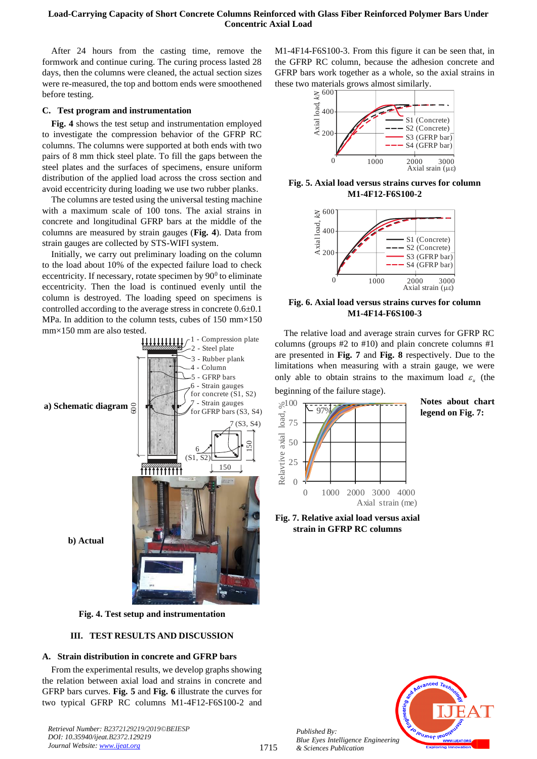## **Load-Carrying Capacity of Short Concrete Columns Reinforced with Glass Fiber Reinforced Polymer Bars Under Concentric Axial Load**

After 24 hours from the casting time, remove the formwork and continue curing. The curing process lasted 28 days, then the columns were cleaned, the actual section sizes were re-measured, the top and bottom ends were smoothened before testing.

## **C. Test program and instrumentation**

**[Fig. 4](#page-3-0)** shows the test setup and instrumentation employed to investigate the compression behavior of the GFRP RC columns. The columns were supported at both ends with two pairs of 8 mm thick steel plate. To fill the gaps between the steel plates and the surfaces of specimens, ensure uniform distribution of the applied load across the cross section and avoid eccentricity during loading we use two rubber planks.

The columns are tested using the universal testing machine with a maximum scale of 100 tons. The axial strains in concrete and longitudinal GFRP bars at the middle of the columns are measured by strain gauges (**[Fig. 4](#page-3-0)**). Data from strain gauges are collected by STS-WIFI system.

Initially, we carry out preliminary loading on the column to the load about 10% of the expected failure load to check eccentricity. If necessary, rotate specimen by  $90^{\circ}$  to eliminate eccentricity. Then the load is continued evenly until the column is destroyed. The loading speed on specimens is controlled according to the average stress in concrete 0.6±0.1 MPa. In addition to the column tests, cubes of 150 mm×150 mm×150 mm are also tested.



<span id="page-3-0"></span>**Fig. 4. Test setup and instrumentation**

## **III. TEST RESULTS AND DISCUSSION**

#### **A. Strain distribution in concrete and GFRP bars**

From the experimental results, we develop graphs showing the relation between axial load and strains in concrete and GFRP bars curves. **[Fig. 5](#page-3-1)** and **[Fig. 6](#page-3-2)** illustrate the curves for two typical GFRP RC columns M1-4F12-F6S100-2 and

*Retrieval Number: B2372129219/2019©BEIESP DOI: 10.35940/ijeat.B2372.129219 Journal Website[: www.ijeat.org](http://www.ijeat.org/)*

M1-4F14-F6S100-3. From this figure it can be seen that, in the GFRP RC column, because the adhesion concrete and GFRP bars work together as a whole, so the axial strains in these two materials grows almost similarly.



<span id="page-3-1"></span>**Fig. 5. Axial load versus strains curves for column M1-4F12-F6S100-2**



<span id="page-3-2"></span>**Fig. 6. Axial load versus strains curves for column M1-4F14-F6S100-3**

The relative load and average strain curves for GFRP RC columns (groups #2 to #10) and plain concrete columns #1 are presented in **[Fig. 7](#page-3-3)** and **[Fig. 8](#page-4-0)** respectively. Due to the limitations when measuring with a strain gauge, we were only able to obtain strains to the maximum load  $\varepsilon_{\mu}$  (the beginning of the failure stage).



**Notes about chart legend on [Fig. 7:](#page-3-3)**

<span id="page-3-3"></span>**Fig. 7. Relative axial load versus axial strain in GFRP RC columns**

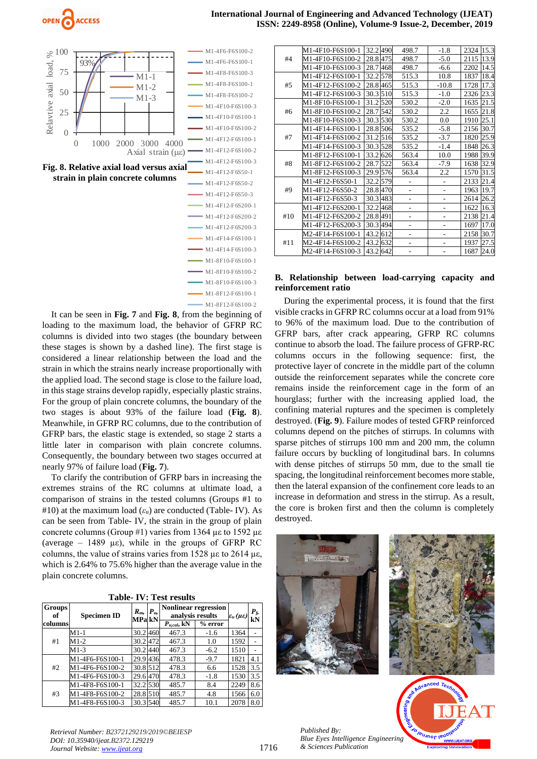

<span id="page-4-0"></span>

It can be seen in [Fig. 7](#page-3-3) and [Fig. 8](#page-4-0), from the beginning of loading to the maximum load, the behavior of GFRP RC columns is divided into two stages (the boundary between these stages is shown by a dashed line). The first stage is considered a linear relationship between the load and the strain in which the strains nearly increase proportionally with the applied load. The second stage is close to the failure load, in this stage strains develop rapidly, especially plastic strains. For the group of plain concrete columns, the boundary of the two stages is about 93% of the failure load (**[Fig. 8](#page-4-0)**). Meanwhile, in GFRP RC columns, due to the contribution of GFRP bars, the elastic stage is extended, so stage 2 starts a little later in comparison with plain concrete columns. Consequently, the boundary between two stages occurred at nearly 97% of failure load (**[Fig. 7](#page-3-3)**).

To clarify the contribution of GFRP bars in increasing the extremes strains of the RC columns at ultimate load, a comparison of strains in the tested columns (Groups #1 to  $#10$ ) at the maximum load ( $\varepsilon$ <sub>u</sub>) are conducted (Table- IV). As can be seen from Table- IV, the strain in the group of plain concrete columns (Group #1) varies from 1364 με to 1592 με (average – 1489  $\mu \varepsilon$ ), while in the groups of GFRP RC columns, the value of strains varies from 1528 µε to 2614 µε, which is 2.64% to 75.6% higher than the average value in the plain concrete columns.

|  |  |  | <b>Table-IV: Test results</b> |
|--|--|--|-------------------------------|
|--|--|--|-------------------------------|

| <b>Groups</b><br>of | <b>Nonlinear regression</b><br>$P_u$<br>$R_m$<br>analysis results<br><b>Specimen ID</b><br>MPa kN |          |                  | $\varepsilon_u(\mu\varepsilon)$ | $P_f$<br>kN |     |
|---------------------|---------------------------------------------------------------------------------------------------|----------|------------------|---------------------------------|-------------|-----|
| columns             |                                                                                                   |          | $P_{u,cal}$ , kN | % error                         |             |     |
|                     | M1-1                                                                                              | 30.2460  | 467.3            | $-1.6$                          | 1364        |     |
| #1                  | $M1-2$                                                                                            | 30.2472  | 467.3            | 1.0                             | 1592        |     |
|                     | $M1-3$                                                                                            | 30.2 440 | 467.3            | $-6.2$                          | 1510        |     |
|                     | M1-4F6-F6S100-1                                                                                   | 29.9 436 | 478.3            | $-9.7$                          | 1821        | 4.1 |
| #2                  | M1-4F6-F6S100-2                                                                                   | 30.8 512 | 478.3            | 6.6                             | 1528        | 3.5 |
|                     | M1-4F6-F6S100-3                                                                                   | 29.6 470 | 478.3            | $-1.8$                          | 1530        | 3.5 |
| #3                  | M1-4F8-F6S100-1                                                                                   | 32.2 530 | 485.7            | 8.4                             | 2249        | 8.6 |
|                     | M1-4F8-F6S100-2                                                                                   | 28.8 510 | 485.7            | 4.8                             | 1566        | 6.0 |
|                     | M1-4F8-F6S100-3                                                                                   | 30.3 540 | 485.7            | 10.1                            | 2078        | 8.0 |

|     | M1-4F10-F6S100-1 | 32.2490  | 498.7                    | $-1.8$         | 15.3<br>2324 |
|-----|------------------|----------|--------------------------|----------------|--------------|
| #4  | M1-4F10-F6S100-2 | 28.8475  | 498.7                    | $-5.0$         | 13.9<br>2115 |
|     | M1-4F10-F6S100-3 | 28.7 468 | 498.7                    | $-6.6$         | 2202<br>14.5 |
|     | M1-4F12-F6S100-1 | 32.2 578 | 515.3                    | 10.8           | 18.4<br>1837 |
| #5  | M1-4F12-F6S100-2 | 28.8465  | 515.3                    | $-10.8$        | 17.3<br>1728 |
|     | M1-4F12-F6S100-3 | 30.3 510 | 515.3                    | $-1.0$         | 2326 23.3    |
|     | M1-8F10-F6S100-1 | 31.2 520 | 530.2                    | $-2.0$         | 21.5<br>1635 |
| #6  | M1-8F10-F6S100-2 | 28.7 542 | 530.2                    | 2.2            | 21.8<br>1655 |
|     | M1-8F10-F6S100-3 | 30.3 530 | 530.2                    | 0.0            | 25.1<br>1910 |
|     | M1-4F14-F6S100-1 | 28.8 506 | 535.2                    | $-5.8$         | 2156<br>30.7 |
| #7  | M1-4F14-F6S100-2 | 31.2 516 | 535.2                    | $-3.7$         | 25.9<br>1820 |
|     | M1-4F14-F6S100-3 | 30.3 528 | 535.2                    | $-1.4$         | 26.3<br>1848 |
|     | M1-8F12-F6S100-1 | 33.2 626 | 563.4                    | 10.0           | 39.9<br>1988 |
| #8  | M1-8F12-F6S100-2 | 28.7 522 | 563.4                    | $-7.9$         | 32.9<br>1638 |
|     | M1-8F12-F6S100-3 | 29.9 576 | 563.4                    | 2.2            | 31.5<br>1570 |
|     | M1-4F12-F6S50-1  | 32.2 579 | ÷,                       | L,             | 21.4<br>2133 |
| #9  | M1-4F12-F6S50-2  | 28.8470  | $\overline{\phantom{a}}$ | $\overline{a}$ | 19.7<br>1963 |
|     | M1-4F12-F6S50-3  | 30.3 483 | $\overline{a}$           | $\overline{a}$ | 26.2<br>2614 |
| #10 | M1-4F12-F6S200-1 | 32.2468  | L,                       |                | 1622<br>16.3 |
|     | M1-4F12-F6S200-2 | 28.8 491 | $\overline{a}$           |                | 21.4<br>2138 |
|     | M1-4F12-F6S200-3 | 30.3 494 | $\overline{a}$           |                | 17.0<br>1697 |
| #11 | M2-4F14-F6S100-1 | 43.2 612 |                          |                | 2158<br>30.7 |
|     | M2-4F14-F6S100-2 | 43.2 632 |                          |                | 27.5<br>1937 |
|     | M2-4F14-F6S100-3 | 43.2 642 |                          |                | 24.0<br>1687 |

## **B. Relationship between load-carrying capacity and reinforcement ratio**

During the experimental process, it is found that the first visible cracks in GFRP RC columns occur at a load from 91% to 96% of the maximum load. Due to the contribution of GFRP bars, after crack appearing, GFRP RC columns continue to absorb the load. The failure process of GFRP-RC columns occurs in the following sequence: first, the protective layer of concrete in the middle part of the column outside the reinforcement separates while the concrete core remains inside the reinforcement cage in the form of an hourglass; further with the increasing applied load, the confining material ruptures and the specimen is completely destroyed. (**[Fig. 9](#page-5-0)**). Failure modes of tested GFRP reinforced columns depend on the pitches of stirrups. In columns with sparse pitches of stirrups 100 mm and 200 mm, the column failure occurs by buckling of longitudinal bars. In columns with dense pitches of stirrups 50 mm, due to the small tie spacing, the longitudinal reinforcement becomes more stable, then the lateral expansion of the confinement core leads to an increase in deformation and stress in the stirrup. As a result, the core is broken first and then the column is completely destroyed.





**EUJNOF IEU**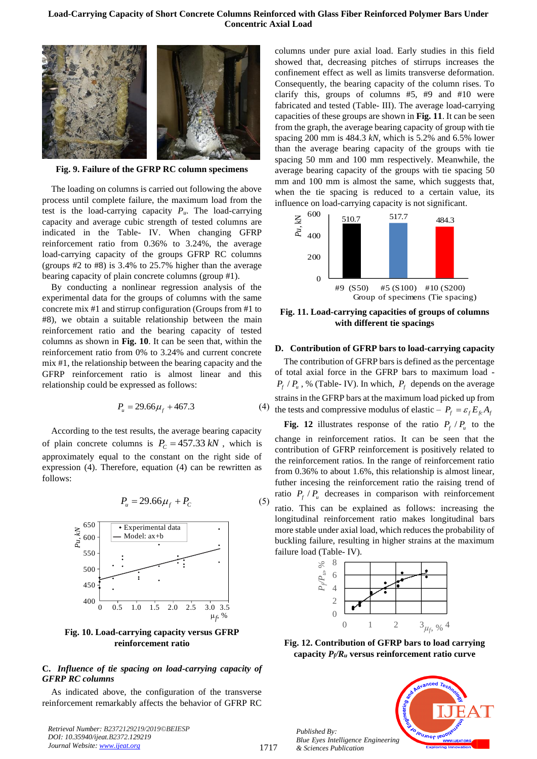#### **Load-Carrying Capacity of Short Concrete Columns Reinforced with Glass Fiber Reinforced Polymer Bars Under Concentric Axial Load**



**Fig. 9. Failure of the GFRP RC column specimens**

<span id="page-5-0"></span>The loading on columns is carried out following the above process until complete failure, the maximum load from the test is the load-carrying capacity  $P_u$ . The load-carrying capacity and average cubic strength of tested columns are indicated in the Table- IV. When changing GFRP reinforcement ratio from 0.36% to 3.24%, the average load-carrying capacity of the groups GFRP RC columns (groups #2 to #8) is 3.4% to 25.7% higher than the average bearing capacity of plain concrete columns (group #1).

By conducting a nonlinear regression analysis of the experimental data for the groups of columns with the same concrete mix #1 and stirrup configuration (Groups from #1 to #8), we obtain a suitable relationship between the main reinforcement ratio and the bearing capacity of tested columns as shown in **[Fig. 10](#page-5-1)**. It can be seen that, within the reinforcement ratio from 0% to 3.24% and current concrete mix #1, the relationship between the bearing capacity and the GFRP reinforcement ratio is almost linear and this relationship could be expressed as follows:

$$
P_u = 29.66\mu_f + 467.3\tag{8}
$$

According to the test results, the average bearing capacity of plain concrete columns is  $P_c = 457.33 \text{ kN}$ , which is approximately equal to the constant on the right side of expression (4). Therefore, equation (4) can be rewritten as follows:

$$
P_u = 29.66\mu_f + P_c \tag{5}
$$



<span id="page-5-1"></span>**Fig. 10. Load-carrying capacity versus GFRP reinforcement ratio**

#### **C.** *Influence of tie spacing on load-carrying capacity of GFRP RC columns*

As indicated above, the configuration of the transverse reinforcement remarkably affects the behavior of GFRP RC

*Retrieval Number: B2372129219/2019©BEIESP DOI: 10.35940/ijeat.B2372.129219 Journal Website[: www.ijeat.org](http://www.ijeat.org/)*

columns under pure axial load. Early studies in this field showed that, decreasing pitches of stirrups increases the confinement effect as well as limits transverse deformation. Consequently, the bearing capacity of the column rises. To clarify this, groups of columns #5, #9 and #10 were fabricated and tested (Table- III). The average load-carrying capacities of these groups are shown in **[Fig. 11](#page-5-2)**. It can be seen from the graph, the average bearing capacity of group with tie spacing 200 mm is 484.3 *kN*, which is 5.2% and 6.5% lower than the average bearing capacity of the groups with tie spacing 50 mm and 100 mm respectively. Meanwhile, the average bearing capacity of the groups with tie spacing 50 mm and 100 mm is almost the same, which suggests that, when the tie spacing is reduced to a certain value, its influence on load-carrying capacity is not significant.



<span id="page-5-2"></span>**Fig. 11. Load-carrying capacities of groups of columns with different tie spacings**

#### **D. Contribution of GFRP bars to load-carrying capacity**

(4) the tests and compressive modulus of elastic –  $P_f = \varepsilon_f E_{fc} A_f$ The contribution of GFRP bars is defined as the percentage of total axial force in the GFRP bars to maximum load -  $P_f$  /  $P_u$ , % (Table- IV). In which,  $P_f$  depends on the average strains in the GFRP bars at the maximum load picked up from

**[Fig. 12](#page-5-3)** illustrates response of the ratio  $P_f$  / $P_u$  to the change in reinforcement ratios. It can be seen that the contribution of GFRP reinforcement is positively related to the reinforcement ratios. In the range of reinforcement ratio from 0.36% to about 1.6%, this relationship is almost linear, futher incesing the reinforcement ratio the raising trend of ratio  $P_f$  /  $P_u$  decreases in comparison with reinforcement ratio. This can be explained as follows: increasing the longitudinal reinforcement ratio makes longitudinal bars more stable under axial load, which reduces the probability of buckling failure, resulting in higher strains at the maximum failure load (Table- IV).



<span id="page-5-3"></span>**Fig. 12. Contribution of GFRP bars to load carrying capacity** *Pf/R<sup>u</sup>* **versus reinforcement ratio curve**

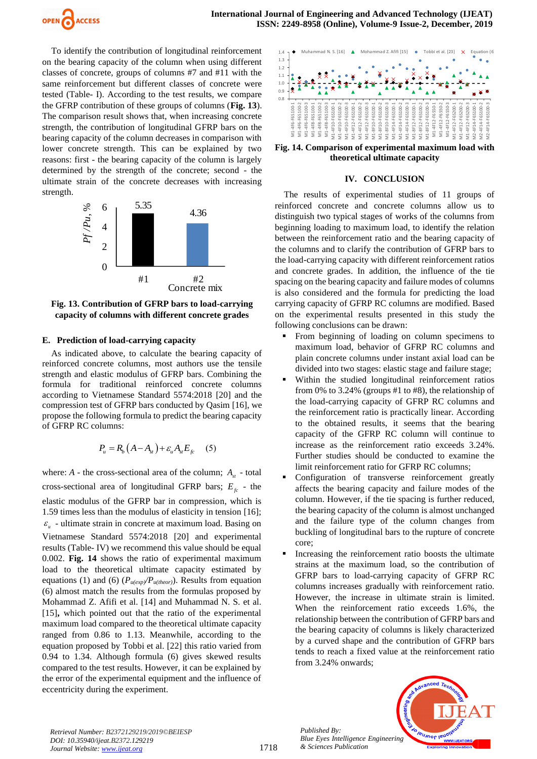

To identify the contribution of longitudinal reinforcement on the bearing capacity of the column when using different classes of concrete, groups of columns #7 and #11 with the same reinforcement but different classes of concrete were tested (Table- I). According to the test results, we compare the GFRP contribution of these groups of columns (**[Fig. 13](#page-6-0)**). The comparison result shows that, when increasing concrete strength, the contribution of longitudinal GFRP bars on the bearing capacity of the column decreases in comparison with lower concrete strength. This can be explained by two reasons: first - the bearing capacity of the column is largely determined by the strength of the concrete; second - the ultimate strain of the concrete decreases with increasing strength.



<span id="page-6-0"></span>**Fig. 13. Contribution of GFRP bars to load-carrying capacity of columns with different concrete grades**

## **E. Prediction of load-carrying capacity**

As indicated above, to calculate the bearing capacity of reinforced concrete columns, most authors use the tensile strength and elastic modulus of GFRP bars. Combining the formula for traditional reinforced concrete columns according to Vietnamese Standard 5574:2018 [20] and the compression test of GFRP bars conducted by Qasim [16], we propose the following formula to predict the bearing capacity of GFRP RC columns:

$$
P_u = R_b \left( A - A_{st} \right) + \varepsilon_u A_{st} E_{fc} \tag{5}
$$

where:  $A$  - the cross-sectional area of the column;  $A_{st}$  - total cross-sectional area of longitudinal GFRP bars;  $E_f$  - the elastic modulus of the GFRP bar in compression, which is 1.59 times less than the modulus of elasticity in tension [16];  $\varepsilon$ <sub>u</sub> - ultimate strain in concrete at maximum load. Basing on Vietnamese Standard 5574:2018 [20] and experimental results (Table- IV) we recommend this value should be equal 0.002. **[Fig. 14](#page-6-1)** shows the ratio of experimental maximum load to the theoretical ultimate capacity estimated by equations (1) and (6)  $(P_{u(exp)}/P_{u(theor)})$ . Results from equation (6) almost match the results from the formulas proposed by Mohammad Z. Afifi et al. [14] and Muhammad N. S. et al. [15]**,** which pointed out that the ratio of the experimental maximum load compared to the theoretical ultimate capacity ranged from 0.86 to 1.13. Meanwhile, according to the equation proposed by Tobbi et al. [22] this ratio varied from 0.94 to 1.34. Although formula (6) gives skewed results compared to the test results. However, it can be explained by the error of the experimental equipment and the influence of eccentricity during the experiment.



<span id="page-6-1"></span>**Fig. 14. Comparison of experimental maximum load with theoretical ultimate capacity**

#### **IV. CONCLUSION**

The results of experimental studies of 11 groups of reinforced concrete and concrete columns allow us to distinguish two typical stages of works of the columns from beginning loading to maximum load, to identify the relation between the reinforcement ratio and the bearing capacity of the columns and to clarify the contribution of GFRP bars to the load-carrying capacity with different reinforcement ratios and concrete grades. In addition, the influence of the tie spacing on the bearing capacity and failure modes of columns is also considered and the formula for predicting the load carrying capacity of GFRP RC columns are modified. Based on the experimental results presented in this study the following conclusions can be drawn:

- From beginning of loading on column specimens to maximum load, behavior of GFRP RC columns and plain concrete columns under instant axial load can be divided into two stages: elastic stage and failure stage;
- Within the studied longitudinal reinforcement ratios from 0% to 3.24% (groups #1 to #8), the relationship of the load-carrying capacity of GFRP RC columns and the reinforcement ratio is practically linear. According to the obtained results, it seems that the bearing capacity of the GFRP RC column will continue to increase as the reinforcement ratio exceeds 3.24%. Further studies should be conducted to examine the limit reinforcement ratio for GFRP RC columns;
- Configuration of transverse reinforcement greatly affects the bearing capacity and failure modes of the column. However, if the tie spacing is further reduced, the bearing capacity of the column is almost unchanged and the failure type of the column changes from buckling of longitudinal bars to the rupture of concrete core;
- Increasing the reinforcement ratio boosts the ultimate strains at the maximum load, so the contribution of GFRP bars to load-carrying capacity of GFRP RC columns increases gradually with reinforcement ratio. However, the increase in ultimate strain is limited. When the reinforcement ratio exceeds 1.6%, the relationship between the contribution of GFRP bars and the bearing capacity of columns is likely characterized by a curved shape and the contribution of GFRP bars tends to reach a fixed value at the reinforcement ratio from 3.24% onwards;



*Retrieval Number: B2372129219/2019©BEIESP DOI: 10.35940/ijeat.B2372.129219 Journal Website[: www.ijeat.org](http://www.ijeat.org/)*

*Published By:*

*& Sciences Publication*